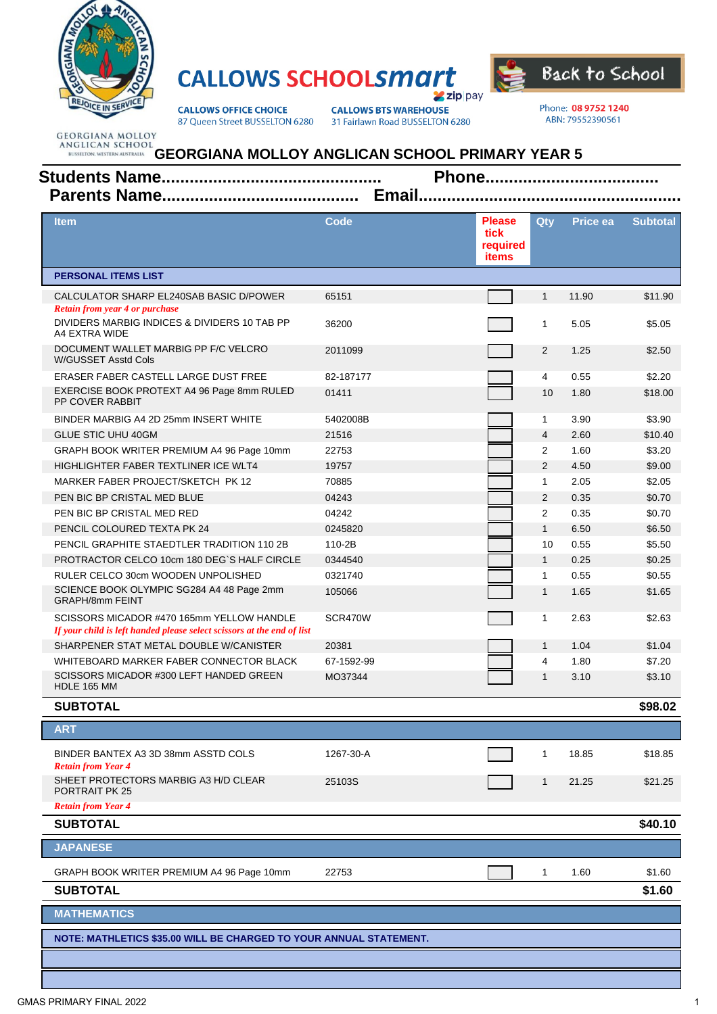

## **CALLOWS SCHOOLSMATT zip** pay



**CALLOWS OFFICE CHOICE** 87 Queen Street BUSSELTON 6280 **CALLOWS BTS WAREHOUSE** 31 Fairlawn Road BUSSELTON 6280 Phone: 08 9752 1240 ABN: 79552390561

## **GEORGIANA MOLLOY ANGLICAN SCHOOL PRIMARY YEAR 5**

| <b>Item</b>                                                                                                         | Code       | <b>Please</b><br>tick<br>required<br>items | <b>Qty</b>     | Price ea | <b>Subtotal</b> |  |  |  |
|---------------------------------------------------------------------------------------------------------------------|------------|--------------------------------------------|----------------|----------|-----------------|--|--|--|
| <b>PERSONAL ITEMS LIST</b>                                                                                          |            |                                            |                |          |                 |  |  |  |
| CALCULATOR SHARP EL240SAB BASIC D/POWER                                                                             | 65151      |                                            | $\mathbf{1}$   | 11.90    | \$11.90         |  |  |  |
| <b>Retain from year 4 or purchase</b><br>DIVIDERS MARBIG INDICES & DIVIDERS 10 TAB PP<br>A4 EXTRA WIDE              | 36200      |                                            | 1              | 5.05     | \$5.05          |  |  |  |
| DOCUMENT WALLET MARBIG PP F/C VELCRO<br>W/GUSSET Asstd Cols                                                         | 2011099    |                                            | 2              | 1.25     | \$2.50          |  |  |  |
| ERASER FABER CASTELL LARGE DUST FREE                                                                                | 82-187177  |                                            | 4              | 0.55     | \$2.20          |  |  |  |
| EXERCISE BOOK PROTEXT A4 96 Page 8mm RULED<br>PP COVER RABBIT                                                       | 01411      |                                            | 10             | 1.80     | \$18.00         |  |  |  |
| BINDER MARBIG A4 2D 25mm INSERT WHITE                                                                               | 5402008B   |                                            | $\mathbf 1$    | 3.90     | \$3.90          |  |  |  |
| <b>GLUE STIC UHU 40GM</b>                                                                                           | 21516      |                                            | $\overline{4}$ | 2.60     | \$10.40         |  |  |  |
| GRAPH BOOK WRITER PREMIUM A4 96 Page 10mm                                                                           | 22753      |                                            | $\overline{2}$ | 1.60     | \$3.20          |  |  |  |
| HIGHLIGHTER FABER TEXTLINER ICE WLT4                                                                                | 19757      |                                            | 2              | 4.50     | \$9.00          |  |  |  |
| MARKER FABER PROJECT/SKETCH PK 12                                                                                   | 70885      |                                            | $\mathbf{1}$   | 2.05     | \$2.05          |  |  |  |
| PEN BIC BP CRISTAL MED BLUE                                                                                         | 04243      |                                            | 2              | 0.35     | \$0.70          |  |  |  |
| PEN BIC BP CRISTAL MED RED                                                                                          | 04242      |                                            | $\overline{2}$ | 0.35     | \$0.70          |  |  |  |
| PENCIL COLOURED TEXTA PK 24                                                                                         | 0245820    |                                            | $\mathbf{1}$   | 6.50     | \$6.50          |  |  |  |
| PENCIL GRAPHITE STAEDTLER TRADITION 110 2B                                                                          | 110-2B     |                                            | 10             | 0.55     | \$5.50          |  |  |  |
| PROTRACTOR CELCO 10cm 180 DEG`S HALF CIRCLE                                                                         | 0344540    |                                            | $\mathbf{1}$   | 0.25     | \$0.25          |  |  |  |
| RULER CELCO 30cm WOODEN UNPOLISHED                                                                                  | 0321740    |                                            | $\mathbf{1}$   | 0.55     | \$0.55          |  |  |  |
| SCIENCE BOOK OLYMPIC SG284 A4 48 Page 2mm<br><b>GRAPH/8mm FEINT</b>                                                 | 105066     |                                            | $\mathbf{1}$   | 1.65     | \$1.65          |  |  |  |
| SCISSORS MICADOR #470 165mm YELLOW HANDLE<br>If your child is left handed please select scissors at the end of list | SCR470W    |                                            | $\mathbf{1}$   | 2.63     | \$2.63          |  |  |  |
| SHARPENER STAT METAL DOUBLE W/CANISTER                                                                              | 20381      |                                            | $\mathbf{1}$   | 1.04     | \$1.04          |  |  |  |
| WHITEBOARD MARKER FABER CONNECTOR BLACK                                                                             | 67-1592-99 |                                            | 4              | 1.80     | \$7.20          |  |  |  |
| SCISSORS MICADOR #300 LEFT HANDED GREEN<br>HDLE 165 MM                                                              | MO37344    |                                            | 1              | 3.10     | \$3.10          |  |  |  |
| <b>SUBTOTAL</b>                                                                                                     |            |                                            |                |          | \$98.02         |  |  |  |
| <b>ART</b>                                                                                                          |            |                                            |                |          |                 |  |  |  |
| BINDER BANTEX A3 3D 38mm ASSTD COLS<br><b>Retain from Year 4</b>                                                    | 1267-30-A  |                                            |                | 18.85    | \$18.85         |  |  |  |
| SHEET PROTECTORS MARBIG A3 H/D CLEAR<br>PORTRAIT PK 25                                                              | 25103S     |                                            | $\mathbf{1}$   | 21.25    | \$21.25         |  |  |  |
| <b>Retain from Year 4</b>                                                                                           |            |                                            |                |          |                 |  |  |  |
| <b>SUBTOTAL</b>                                                                                                     |            |                                            |                |          | \$40.10         |  |  |  |
| <b>JAPANESE</b>                                                                                                     |            |                                            |                |          |                 |  |  |  |
| GRAPH BOOK WRITER PREMIUM A4 96 Page 10mm                                                                           | 22753      |                                            | $\mathbf{1}$   | 1.60     | \$1.60          |  |  |  |
| <b>SUBTOTAL</b>                                                                                                     |            |                                            |                |          | \$1.60          |  |  |  |
| <b>MATHEMATICS</b>                                                                                                  |            |                                            |                |          |                 |  |  |  |
| NOTE: MATHLETICS \$35.00 WILL BE CHARGED TO YOUR ANNUAL STATEMENT.                                                  |            |                                            |                |          |                 |  |  |  |
|                                                                                                                     |            |                                            |                |          |                 |  |  |  |